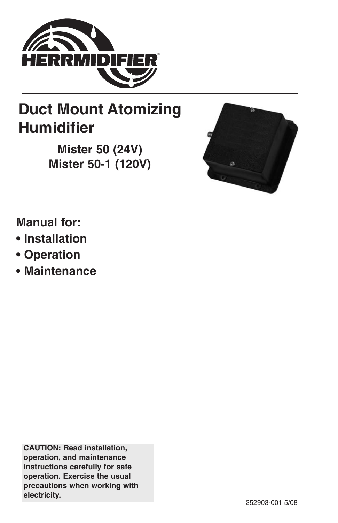

# **Duct Mount Atomizing Humidifier**

**Mister 50 (24V) Mister 50-1 (120V)**



# **Manual for:**

- **• Installation**
- **• Operation**
- **• Maintenance**

**CAUTION: Read installation, operation, and maintenance instructions carefully for safe operation. Exercise the usual precautions when working with electricity.**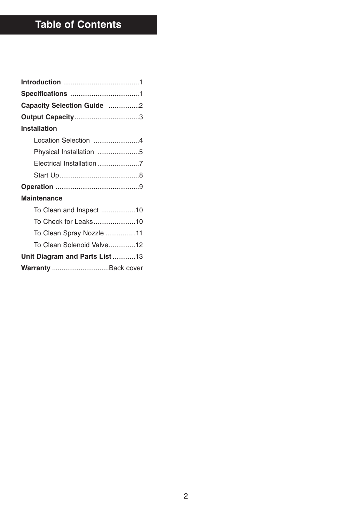# **Table of Contents**

| Capacity Selection Guide 2    |
|-------------------------------|
| <b>Output Capacity3</b>       |
| <b>Installation</b>           |
| Location Selection 4          |
| Physical Installation 5       |
| Electrical Installation 7     |
|                               |
|                               |
| Maintenance                   |
| To Clean and Inspect 10       |
| To Check for Leaks10          |
| To Clean Spray Nozzle 11      |
| To Clean Solenoid Valve12     |
| Unit Diagram and Parts List13 |
| Warranty Back cover           |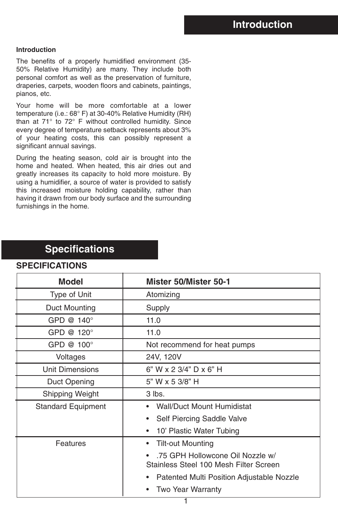#### **Introduction**

The benefits of a properly humidified environment (35- 50% Relative Humidity) are many. They include both personal comfort as well as the preservation of furniture, draperies, carpets, wooden floors and cabinets, paintings, pianos, etc.

Your home will be more comfortable at a lower temperature (i.e.: 68° F) at 30-40% Relative Humidity (RH) than at 71° to 72° F without controlled humidity. Since every degree of temperature setback represents about 3% of your heating costs, this can possibly represent a significant annual savings.

During the heating season, cold air is brought into the home and heated. When heated, this air dries out and greatly increases its capacity to hold more moisture. By using a humidifier, a source of water is provided to satisfy this increased moisture holding capability, rather than having it drawn from our body surface and the surrounding furnishings in the home.

### **Specifications**

| <b>Model</b>              | Mister 50/Mister 50-1                                                      |  |
|---------------------------|----------------------------------------------------------------------------|--|
| Type of Unit              | Atomizing                                                                  |  |
| Duct Mounting             | Supply                                                                     |  |
| GPD $@140°$               | 11.0                                                                       |  |
| GPD @ 120°                | 11.0                                                                       |  |
| GPD @ 100°                | Not recommend for heat pumps                                               |  |
| Voltages                  | 24V, 120V                                                                  |  |
| Unit Dimensions           | 6" W x 2 3/4" D x 6" H                                                     |  |
| Duct Opening              | 5" W x 5 3/8" H                                                            |  |
| Shipping Weight           | 3 lbs.                                                                     |  |
| <b>Standard Equipment</b> | <b>Wall/Duct Mount Humidistat</b>                                          |  |
|                           | Self Piercing Saddle Valve                                                 |  |
|                           | 10' Plastic Water Tubing<br>٠                                              |  |
| Features                  | <b>Tilt-out Mounting</b><br>٠                                              |  |
|                           | .75 GPH Hollowcone Oil Nozzle w/<br>Stainless Steel 100 Mesh Filter Screen |  |
|                           | Patented Multi Position Adjustable Nozzle                                  |  |
|                           | <b>Two Year Warranty</b>                                                   |  |

#### **SPECIFICATIONS**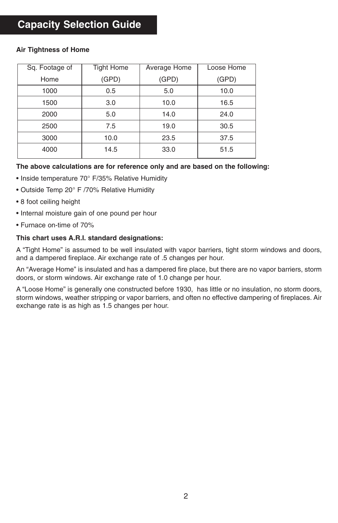## **Capacity Selection Guide**

#### Sq. Footage of Home 1000 1500 2000 2500 3000 4000 Tight Home (GPD) 0.5 3.0 5.0 7.5 10.0 14.5 Average Home (GPD) 5.0 10.0 14.0 19.0 23.5 33.0 Loose Home (GPD) 10.0 16.5 24.0 30.5 37.5 51.5

#### **Air Tightness of Home**

#### **The above calculations are for reference only and are based on the following:**

- Inside temperature 70° F/35% Relative Humidity
- Outside Temp 20° F /70% Relative Humidity
- 8 foot ceiling height
- Internal moisture gain of one pound per hour
- Furnace on-time of 70%

#### **This chart uses A.R.I. standard designations:**

A "Tight Home" is assumed to be well insulated with vapor barriers, tight storm windows and doors, and a dampered fireplace. Air exchange rate of .5 changes per hour.

An "Average Home" is insulated and has a dampered fire place, but there are no vapor barriers, storm doors, or storm windows. Air exchange rate of 1.0 change per hour.

A "Loose Home" is generally one constructed before 1930, has little or no insulation, no storm doors, storm windows, weather stripping or vapor barriers, and often no effective dampering of fireplaces. Air exchange rate is as high as 1.5 changes per hour.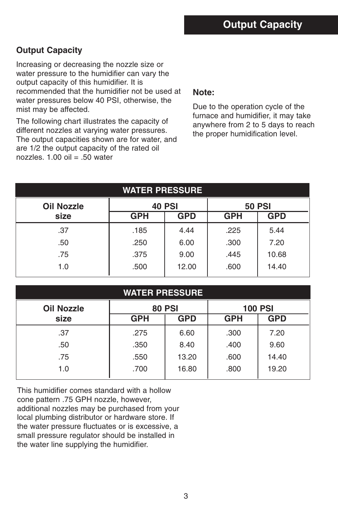### **Output Capacity**

Increasing or decreasing the nozzle size or water pressure to the humidifier can vary the output capacity of this humidifier. It is recommended that the humidifier not be used at water pressures below 40 PSI, otherwise, the mist may be affected.

The following chart illustrates the capacity of different nozzles at varying water pressures. The output capacities shown are for water, and are 1/2 the output capacity of the rated oil nozzles.  $1.00$  oil = .50 water

#### **Note:**

Due to the operation cycle of the furnace and humidifier, it may take anywhere from 2 to 5 days to reach the proper humidification level.

| <b>WATER PRESSURE</b> |               |            |            |               |
|-----------------------|---------------|------------|------------|---------------|
| <b>Oil Nozzle</b>     | <b>40 PSI</b> |            |            | <b>50 PSI</b> |
| size                  | <b>GPH</b>    | <b>GPD</b> | <b>GPH</b> | <b>GPD</b>    |
| .37                   | .185          | 4.44       | .225       | 5.44          |
| .50                   | .250          | 6.00       | .300       | 7.20          |
| .75                   | .375          | 9.00       | .445       | 10.68         |
| 1.0                   | .500          | 12.00      | .600       | 14.40         |

|                   | <b>WATER PRESSURE</b> |            |                |            |
|-------------------|-----------------------|------------|----------------|------------|
| <b>Oil Nozzle</b> | <b>80 PSI</b>         |            | <b>100 PSI</b> |            |
| size              | <b>GPH</b>            | <b>GPD</b> | <b>GPH</b>     | <b>GPD</b> |
| .37               | .275                  | 6.60       | .300           | 7.20       |
| .50               | .350                  | 8.40       | .400           | 9.60       |
| .75               | .550                  | 13.20      | .600           | 14.40      |
| 1.0               | .700                  | 16.80      | .800           | 19.20      |

This humidifier comes standard with a hollow cone pattern .75 GPH nozzle, however, additional nozzles may be purchased from your local plumbing distributor or hardware store. If the water pressure fluctuates or is excessive, a small pressure regulator should be installed in the water line supplying the humidifier.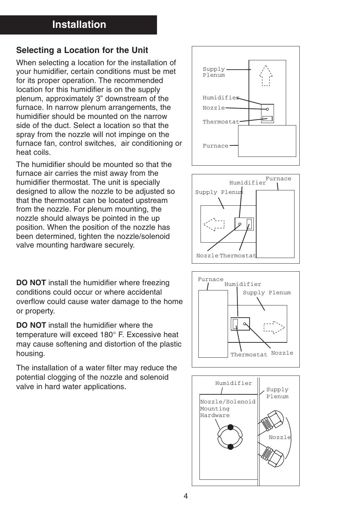### **Selecting a Location for the Unit**

When selecting a location for the installation of  $\begin{bmatrix} S_{\text{unplus}} \\ S_{\text{unplus}} \end{bmatrix}$ your humidifier, certain conditions must be met for its proper operation. The recommended location for this humidifier is on the supply plenum, approximately 3" downstream of the furnace. In narrow plenum arrangements, the humidifier should be mounted on the narrow side of the duct. Select a location so that the spray from the nozzle will not impinge on the furnace fan, control switches, air conditioning or heat coils.

The humidifier should be mounted so that the furnace air carries the mist away from the humidifier thermostat. The unit is specially designed to allow the nozzle to be adjusted so that the thermostat can be located upstream from the nozzle. For plenum mounting, the nozzle should always be pointed in the up position. When the position of the nozzle has been determined, tighten the nozzle/solenoid valve mounting hardware securely.

**DO NOT** install the humidifier where freezing Plenum conditions could occur or where accidental  $\Box$ or property. overflow could cause water damage to the home

temperature will exceed 180° F. Excessive heat **DO NOT** install the humidifier where the may cause softening and distortion of the plastic housing.

> The installation of a water filter may reduce the potential clogging of the nozzle and solenoid valve in hard water applications.







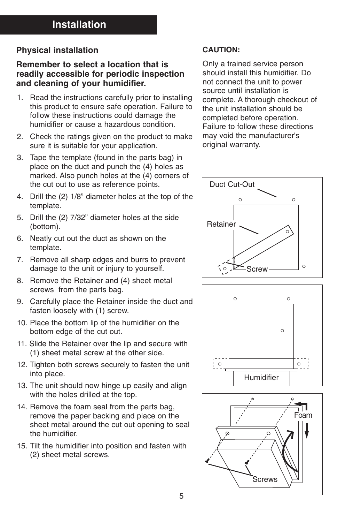### **Physical installation**

### **Remember to select a location that is readily accessible for periodic inspection and cleaning of your humidifier.**

- 1. Read the instructions carefully prior to installing this product to ensure safe operation. Failure to follow these instructions could damage the humidifier or cause a hazardous condition.
- 2. Check the ratings given on the product to make sure it is suitable for your application.
- 3. Tape the template (found in the parts bag) in place on the duct and punch the (4) holes as marked. Also punch holes at the (4) corners of the cut out to use as reference points.
- 4. Drill the (2) 1/8" diameter holes at the top of the template.
- 5. Drill the (2) 7/32" diameter holes at the side (bottom).
- 6. Neatly cut out the duct as shown on the template.
- 7. Remove all sharp edges and burrs to prevent damage to the unit or injury to yourself.
- 8. Remove the Retainer and (4) sheet metal screws from the parts bag.
- 9. Carefully place the Retainer inside the duct and fasten loosely with (1) screw.
- 10. Place the bottom lip of the humidifier on the bottom edge of the cut out.
- 11. Slide the Retainer over the lip and secure with (1) sheet metal screw at the other side.
- 12. Tighten both screws securely to fasten the unit into place.
- 13. The unit should now hinge up easily and align with the holes drilled at the top.
- 14. Remove the foam seal from the parts bag, remove the paper backing and place on the sheet metal around the cut out opening to seal the humidifier.
- 15. Tilt the humidifier into position and fasten with (2) sheet metal screws.

#### **CAUTION:**

Only a trained service person should install this humidifier. Do not connect the unit to power source until installation is complete. A thorough checkout of the unit installation should be completed before operation. Failure to follow these directions may void the manufacturer's original warranty.





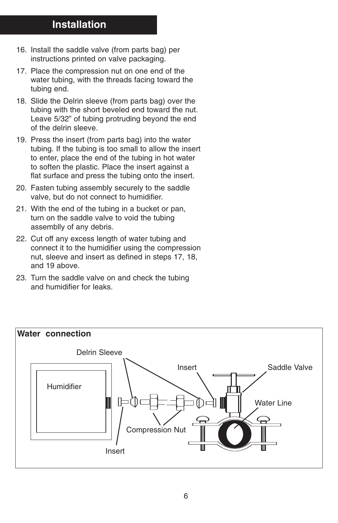- 16. Install the saddle valve (from parts bag) per instructions printed on valve packaging.
- 17. Place the compression nut on one end of the water tubing, with the threads facing toward the tubing end.
- 18. Slide the Delrin sleeve (from parts bag) over the tubing with the short beveled end toward the nut. Leave 5/32" of tubing protruding beyond the end of the delrin sleeve.
- 19. Press the insert (from parts bag) into the water tubing. If the tubing is too small to allow the insert to enter, place the end of the tubing in hot water to soften the plastic. Place the insert against a flat surface and press the tubing onto the insert.
- 20. Fasten tubing assembly securely to the saddle valve, but do not connect to humidifier.
- 21. With the end of the tubing in a bucket or pan, turn on the saddle valve to void the tubing assemblly of any debris.
- 22. Cut off any excess length of water tubing and connect it to the humidifier using the compression nut, sleeve and insert as defined in steps 17, 18, and 19 above.
- 23. Turn the saddle valve on and check the tubing and humidifier for leaks.

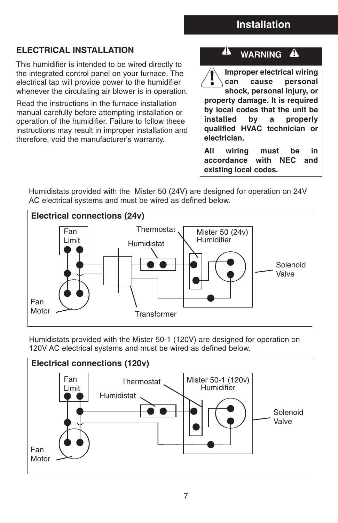### **ELECTRICAL INSTALLATION**

This humidifier is intended to be wired directly to the integrated control panel on your furnace. The electrical tap will provide power to the humidifier whenever the circulating air blower is in operation.

Read the instructions in the furnace installation manual carefully before attempting installation or operation of the humidifier. Failure to follow these instructions may result in improper installation and therefore, void the manufacturer's warranty.

#### **WARNING** A

A

**Improper electrical wiring can cause personal shock, personal injury, or property damage. It is required by local codes that the unit be installed by a properly qualified HVAC technician or electrician.** 

**All wiring must be in accordance with NEC and existing local codes.**

Humidistats provided with the Mister 50 (24V) are designed for operation on 24V AC electrical systems and must be wired as defined below.



Humidistats provided with the Mister 50-1 (120V) are designed for operation on 120V AC electrical systems and must be wired as defined below.

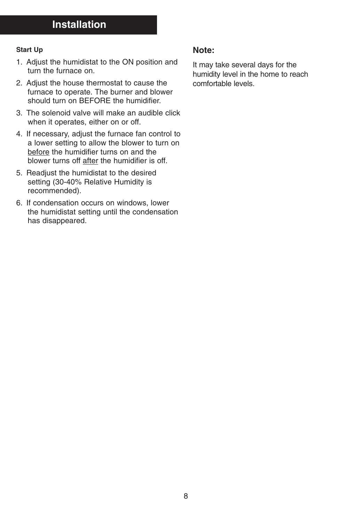#### **Start Up**

- 1. Adjust the humidistat to the ON position and turn the furnace on.
- 2. Adjust the house thermostat to cause the furnace to operate. The burner and blower should turn on BEFORE the humidifier.
- 3. The solenoid valve will make an audible click when it operates, either on or off.
- 4. If necessary, adjust the furnace fan control to a lower setting to allow the blower to turn on before the humidifier turns on and the blower turns off after the humidifier is off.
- 5. Readjust the humidistat to the desired setting (30-40% Relative Humidity is recommended).
- 6. If condensation occurs on windows, lower the humidistat setting until the condensation has disappeared.

### **Note:**

It may take several days for the humidity level in the home to reach comfortable levels.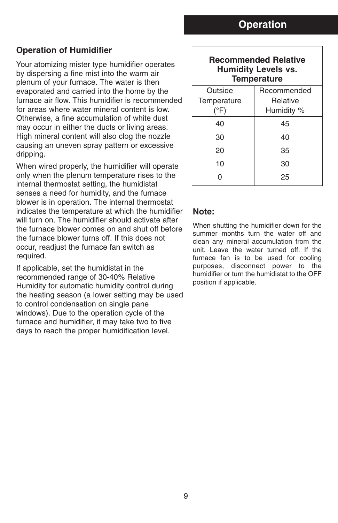### **Operation of Humidifier**

Your atomizing mister type humidifier operates by dispersing a fine mist into the warm air plenum of your furnace. The water is then evaporated and carried into the home by the furnace air flow. This humidifier is recommended for areas where water mineral content is low. Otherwise, a fine accumulation of white dust may occur in either the ducts or living areas. High mineral content will also clog the nozzle causing an uneven spray pattern or excessive dripping.

When wired properly, the humidifier will operate only when the plenum temperature rises to the internal thermostat setting, the humidistat senses a need for humidity, and the furnace blower is in operation. The internal thermostat indicates the temperature at which the humidifier will turn on. The humidifier should activate after the furnace blower comes on and shut off before the furnace blower turns off. If this does not occur, readjust the furnace fan switch as required.

If applicable, set the humidistat in the recommended range of 30-40% Relative Humidity for automatic humidity control during the heating season (a lower setting may be used to control condensation on single pane windows). Due to the operation cycle of the furnace and humidifier, it may take two to five days to reach the proper humidification level.

| <b>Recommended Relative</b><br><b>Humidity Levels vs.</b><br><b>Temperature</b> |                 |  |  |
|---------------------------------------------------------------------------------|-----------------|--|--|
| Outside                                                                         | Recommended     |  |  |
| Temperature                                                                     | <b>Relative</b> |  |  |
| $(^\circ$ F)                                                                    | Humidity %      |  |  |
| 40                                                                              | 45              |  |  |
| 30                                                                              | 40              |  |  |
| 20                                                                              | 35              |  |  |
| 10                                                                              | 30              |  |  |
|                                                                                 | 25              |  |  |

#### **Note:**

When shutting the humidifier down for the summer months turn the water off and clean any mineral accumulation from the unit. Leave the water turned off. If the furnace fan is to be used for cooling purposes, disconnect power to the humidifier or turn the humidistat to the OFF position if applicable.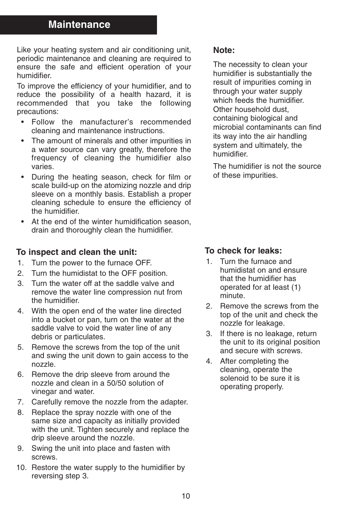### **Maintenance**

Like your heating system and air conditioning unit, periodic maintenance and cleaning are required to ensure the safe and efficient operation of your humidifier.

To improve the efficiency of your humidifier, and to reduce the possibility of a health hazard, it is recommended that you take the following precautions:

- Follow the manufacturer's recommended cleaning and maintenance instructions.
- The amount of minerals and other impurities in a water source can vary greatly, therefore the frequency of cleaning the humidifier also varies.
- During the heating season, check for film or scale build-up on the atomizing nozzle and drip sleeve on a monthly basis. Establish a proper cleaning schedule to ensure the efficiency of the humidifier.
- At the end of the winter humidification season, drain and thoroughly clean the humidifier.

### **To inspect and clean the unit:**

- 1. Turn the power to the furnace OFF.
- 2. Turn the humidistat to the OFF position.
- 3. Turn the water off at the saddle valve and remove the water line compression nut from the humidifier.
- 4. With the open end of the water line directed into a bucket or pan, turn on the water at the saddle valve to void the water line of any debris or particulates.
- 5. Remove the screws from the top of the unit and swing the unit down to gain access to the nozzle.
- 6. Remove the drip sleeve from around the nozzle and clean in a 50/50 solution of vinegar and water.
- 7. Carefully remove the nozzle from the adapter.
- 8. Replace the spray nozzle with one of the same size and capacity as initially provided with the unit. Tighten securely and replace the drip sleeve around the nozzle.
- 9. Swing the unit into place and fasten with screws.
- 10. Restore the water supply to the humidifier by reversing step 3.

### **Note:**

The necessity to clean your humidifier is substantially the result of impurities coming in through your water supply which feeds the humidifier. Other household dust, containing biological and microbial contaminants can find its way into the air handling system and ultimately, the humidifier.

The humidifier is not the source of these impurities.

### **To check for leaks:**

- 1. Turn the furnace and humidistat on and ensure that the humidifier has operated for at least (1) minute.
- 2. Remove the screws from the top of the unit and check the nozzle for leakage.
- 3. If there is no leakage, return the unit to its original position and secure with screws.
- 4. After completing the cleaning, operate the solenoid to be sure it is operating properly.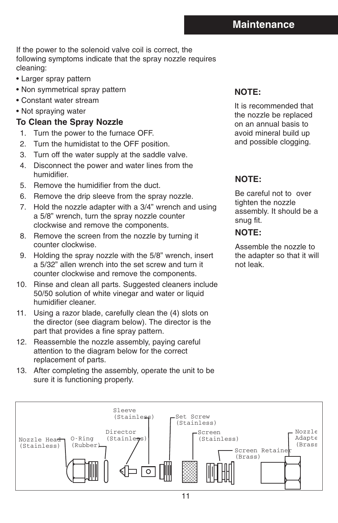If the power to the solenoid valve coil is correct, the following symptoms indicate that the spray nozzle requires cleaning:

- Larger spray pattern
- Non symmetrical spray pattern
- Constant water stream
- Not spraying water

### **To Clean the Spray Nozzle**

- 1. Turn the power to the furnace OFF.
- 2. Turn the humidistat to the OFF position.
- 3. Turn off the water supply at the saddle valve.
- 4. Disconnect the power and water lines from the humidifier.
- 5. Remove the humidifier from the duct.
- 6. Remove the drip sleeve from the spray nozzle.
- 7. Hold the nozzle adapter with a 3/4" wrench and using a 5/8" wrench, turn the spray nozzle counter clockwise and remove the components.
- 8. Remove the screen from the nozzle by turning it counter clockwise.
- 9. Holding the spray nozzle with the 5/8" wrench, insert a 5/32" allen wrench into the set screw and turn it counter clockwise and remove the components.
- 10. Rinse and clean all parts. Suggested cleaners include 50/50 solution of white vinegar and water or liquid humidifier cleaner.
- 11. Using a razor blade, carefully clean the (4) slots on the director (see diagram below). The director is the part that provides a fine spray pattern.
- 12. Reassemble the nozzle assembly, paying careful attention to the diagram below for the correct replacement of parts.
- 13. After completing the assembly, operate the unit to be sure it is functioning properly.

### **NOTE:**

It is recommended that the nozzle be replaced on an annual basis to avoid mineral build up and possible clogging.

### **NOTE:**

Be careful not to over tighten the nozzle assembly. It should be a snug fit.

#### **NOTE:**

Assemble the nozzle to the adapter so that it will not leak. Mounting

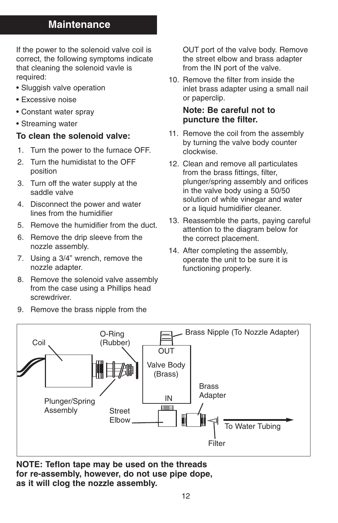### **Maintenance**

If the power to the solenoid valve coil is correct, the following symptoms indicate that cleaning the solenoid vavle is required:

- Sluggish valve operation
- Excessive noise
- Constant water spray
- Streaming water

### **To clean the solenoid valve:**

- 1. Turn the power to the furnace OFF.
- 2. Turn the humidistat to the OFF position
- 3. Turn off the water supply at the saddle valve
- 4. Disconnect the power and water lines from the humidifier
- 5. Remove the humidifier from the duct.
- 6. Remove the drip sleeve from the nozzle assembly.
- 7. Using a 3/4" wrench, remove the nozzle adapter.
- 8. Remove the solenoid valve assembly from the case using a Phillips head screwdriver.
- 9. Remove the brass nipple from the

OUT port of the valve body. Remove the street elbow and brass adapter from the IN port of the valve.

10. Remove the filter from inside the inlet brass adapter using a small nail or paperclip.

### **Note: Be careful not to puncture the filter.**

- 11. Remove the coil from the assembly by turning the valve body counter clockwise.
- 12. Clean and remove all particulates from the brass fittings, filter, plunger/spring assembly and orifices in the valve body using a 50/50 solution of white vinegar and water or a liquid humidifier cleaner.
- 13. Reassemble the parts, paying careful attention to the diagram below for the correct placement.
- 14. After completing the assembly, operate the unit to be sure it is functioning properly.



**NOTE: Teflon tape may be used on the threads for re-assembly, however, do not use pipe dope, as it will clog the nozzle assembly.**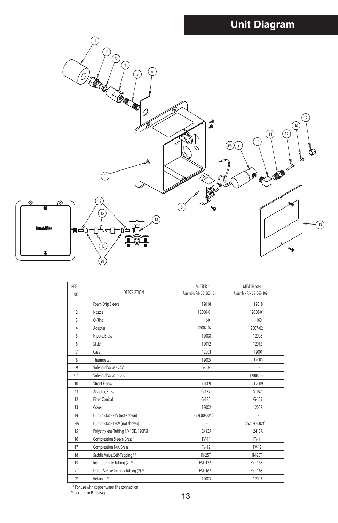# **Unit Diagram**

![](_page_14_Figure_1.jpeg)

| REF.<br>NO.    | <b>DESCRIPTION</b>                                                     | MISTER 50<br>Assembly P/N 351367-101 | MISTER 50-1<br>Assembly P/N 351367-102 |  |
|----------------|------------------------------------------------------------------------|--------------------------------------|----------------------------------------|--|
| 1              | Foam Drip Sleeve                                                       | 12018                                | 12018                                  |  |
| $\overline{2}$ | Nozzle                                                                 | 12006-01                             | 12006-01                               |  |
| 3              | O-Ring                                                                 | 160                                  | 160                                    |  |
| $\overline{4}$ | Adapter                                                                | 12007-02                             | 12007-02                               |  |
| 5              | Nipple, Brass                                                          | 12008                                | 12008                                  |  |
| 6              | Slide                                                                  | 12012                                | 12012                                  |  |
| 7              | Case                                                                   | 12001                                | 12001                                  |  |
| 8              | Thermostat                                                             | 12005                                | 12005                                  |  |
| 9              | Solenoid Valve - 24V                                                   | $G-109$                              | ÷                                      |  |
| 9A             | Solenoid Valve - 120V                                                  | ÷.                                   | 12004-02                               |  |
| 10             | <b>Street Elbow</b>                                                    | 12009                                | 12009                                  |  |
| 11             | Adapter, Brass                                                         | $G-157$                              | $G-157$                                |  |
| 12             | Filter, Conical                                                        | $G-125$                              | $G-125$                                |  |
| 13             | Cover                                                                  | 12002                                | 12002                                  |  |
| 14             | Humidistat - 24V (not shown)                                           | 352680-004C                          |                                        |  |
| 14A            | Humidistat - 120V (not shown)                                          |                                      | 352680-002C                            |  |
| 15             | Polyethylene Tubing 1/4" OD, 120PSI                                    | 2413A                                | 2413A                                  |  |
| 16             | Compression Sleeve, Brass*                                             | FV-11                                | $FV-11$                                |  |
| 17             | Compression Nut, Brass                                                 | FV-12                                | FV-12                                  |  |
| 18             | Saddle Valve, Self-Tapping **                                          | IN-2ST                               | IN-2ST                                 |  |
| 19             | Insert for Poly Tubing (2) **                                          | EST-133                              | EST-133                                |  |
| 20             | Delrin Sleeve for Poly Tubing (2) **                                   | EST-163                              | EST-163                                |  |
| 21             | Retainer**                                                             | 12003                                | 12003                                  |  |
|                | * For use with copper water line connection<br>** Located in Parts Bag | 13                                   |                                        |  |